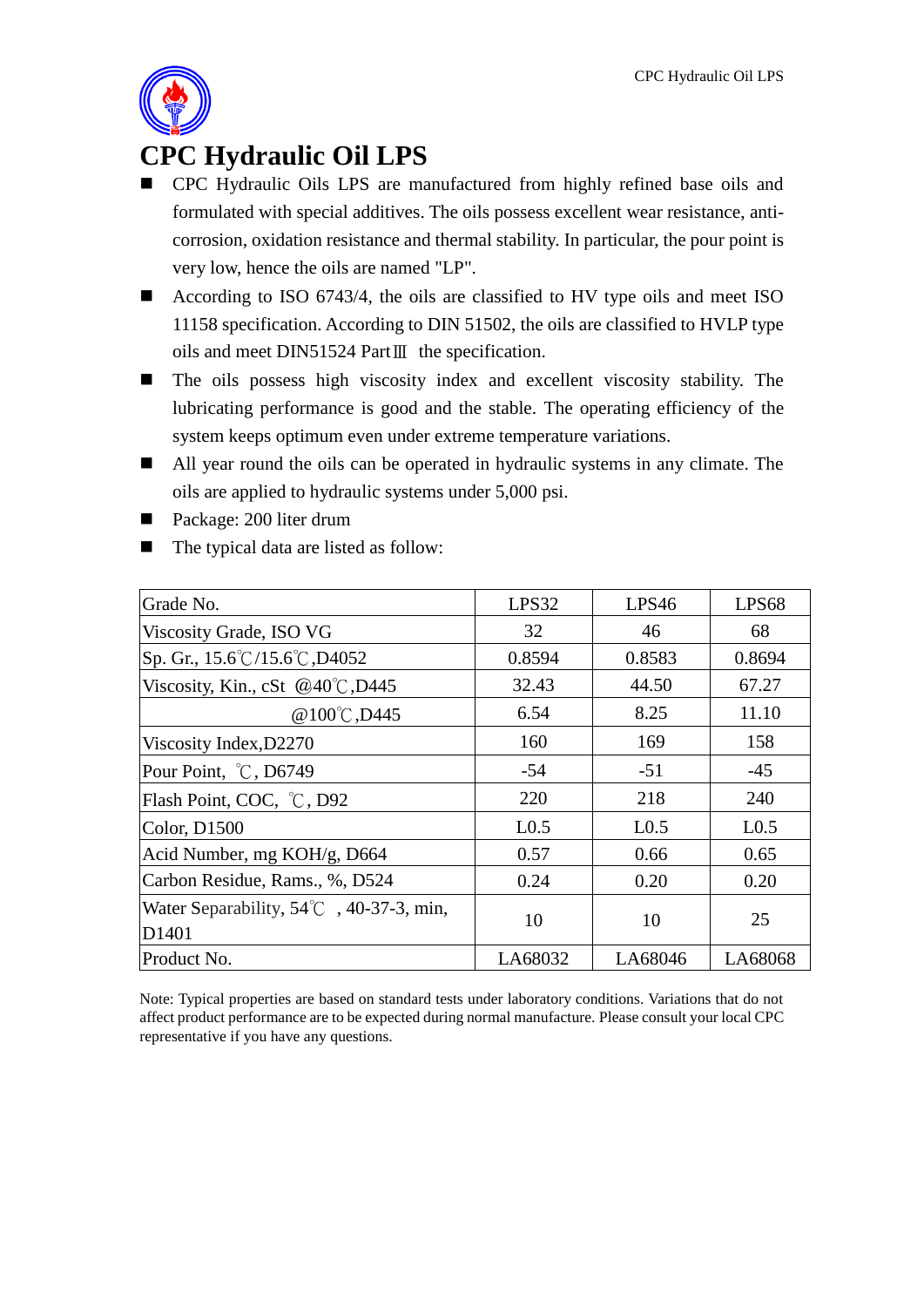

## **CPC Hydraulic Oil LPS**

- CPC Hydraulic Oils LPS are manufactured from highly refined base oils and formulated with special additives. The oils possess excellent wear resistance, anticorrosion, oxidation resistance and thermal stability. In particular, the pour point is very low, hence the oils are named "LP".
- According to ISO 6743/4, the oils are classified to HV type oils and meet ISO 11158 specification. According to DIN 51502, the oils are classified to HVLP type oils and meet DIN51524 PartⅢ the specification.
- The oils possess high viscosity index and excellent viscosity stability. The lubricating performance is good and the stable. The operating efficiency of the system keeps optimum even under extreme temperature variations.
- All year round the oils can be operated in hydraulic systems in any climate. The oils are applied to hydraulic systems under 5,000 psi.
- Package: 200 liter drum
- The typical data are listed as follow:

| Grade No.                                                           | LPS32            | LPS46            | LPS68            |
|---------------------------------------------------------------------|------------------|------------------|------------------|
| Viscosity Grade, ISO VG                                             | 32               | 46               | 68               |
| $\text{Sp. Gr.}, 15.6^{\circ}\text{C}/15.6^{\circ}\text{C}$ , D4052 | 0.8594           | 0.8583           | 0.8694           |
| Viscosity, Kin., cSt @40°C, D445                                    | 32.43            | 44.50            | 67.27            |
| @100°C, D445                                                        | 6.54             | 8.25             | 11.10            |
| Viscosity Index, D2270                                              | 160              | 169              | 158              |
| Pour Point, °C, D6749                                               | $-54$            | $-51$            | $-45$            |
| Flash Point, COC, °C, D92                                           | 220              | 218              | 240              |
| Color, D1500                                                        | L <sub>0.5</sub> | L <sub>0.5</sub> | L <sub>0.5</sub> |
| Acid Number, mg KOH/g, D664                                         | 0.57             | 0.66             | 0.65             |
| Carbon Residue, Rams., %, D524                                      | 0.24             | 0.20             | 0.20             |
| Water Separability, $54^{\circ}$ C, 40-37-3, min,<br>D1401          | 10               | 10               | 25               |
| Product No.                                                         | LA68032          | LA68046          | LA68068          |

Note: Typical properties are based on standard tests under laboratory conditions. Variations that do not affect product performance are to be expected during normal manufacture. Please consult your local CPC representative if you have any questions.